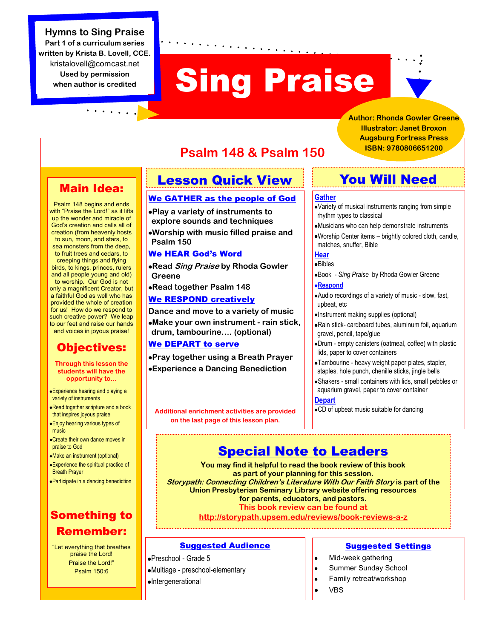#### **Hymns to Sing Praise**

**Part 1 of a curriculum series written by Krista B. Lovell, CCE.**  kristalovell@comcast.net **Used by permission when author is credited**

# **Sing Praise**

**Author: Rhonda Gowler Greene Illustrator: Janet Broxon Augsburg Fortress Press ISBN: 9780806651200**

# Main Idea:

Psalm 148 begins and ends with "Praise the Lord!" as it lifts up the wonder and miracle of God's creation and calls all of creation (from heavenly hosts to sun, moon, and stars, to sea monsters from the deep, to fruit trees and cedars, to creeping things and flying birds, to kings, princes, rulers and all people young and old) to worship. Our God is not only a magnificent Creator, but a faithful God as well who has provided the whole of creation for us! How do we respond to such creative power? We leap to our feet and raise our hands and voices in joyous praise!

### Objectives:

- **Through this lesson the students will have the opportunity to...**
- Experience hearing and playing a variety of instruments
- Read together scripture and a book that inspires joyous praise
- Enjoy hearing various types of music
- Create their own dance moves in praise to God
- Make an instrument (optional)
- Experience the spiritual practice of Breath Prayer
- Participate in a dancing benediction

## Something to Remember:

"Let everything that breathes praise the Lord! Praise the Lord!" Psalm 150:6

# Lesson Quick View

**Psalm 148 & Psalm 150**

#### We GATHER as the people of God

**Play a variety of instruments to explore sounds and techniques Worship with music filled praise and Psalm 150**

#### We HEAR God's Word

**Read Sing Praise by Rhoda Gowler Greene**

**Read together Psalm 148**

#### We RESPOND creatively

**Dance and move to a variety of music Make your own instrument - rain stick, drum, tambourine…. (optional)**

#### We DEPART to serve

**Pray together using a Breath Prayer Experience a Dancing Benediction**

**Additional enrichment activities are provided on the last page of this lesson plan.**

# You Will Need

#### **Gather**

- Variety of musical instruments ranging from simple rhythm types to classical
- Musicians who can help demonstrate instruments
- Worship Center items brightly colored cloth, candle, matches, snuffer, Bible

#### **Hear**

Bibles Book - *Sing Praise* by Rhoda Gowler Greene

#### **Respond**

- Audio recordings of a variety of music slow, fast, upbeat, etc
- Instrument making supplies (optional)
- Rain stick- cardboard tubes, aluminum foil, aquarium gravel, pencil, tape/glue
- Drum empty canisters (oatmeal, coffee) with plastic lids, paper to cover containers
- Tambourine heavy weight paper plates, stapler, staples, hole punch, chenille sticks, jingle bells
- Shakers small containers with lids, small pebbles or aquarium gravel, paper to cover container

#### **Depart**

CD of upbeat music suitable for dancing

# Special Note to Leaders

**You may find it helpful to read the book review of this book as part of your planning for this session. Storypath: Connecting Children's Literature With Our Faith Story is part of the Union Presbyterian Seminary Library website offering resources for parents, educators, and pastors. This book review can be found at http://storypath.upsem.edu/reviews/book-reviews-a-z**

#### Suggested Audience

Preschool - Grade 5 Multiage - preschool-elementary Intergenerational

#### Suggested Settings

- Mid-week gathering  $\bullet$
- Summer Sunday School  $\bullet$
- Family retreat/workshop
- VBS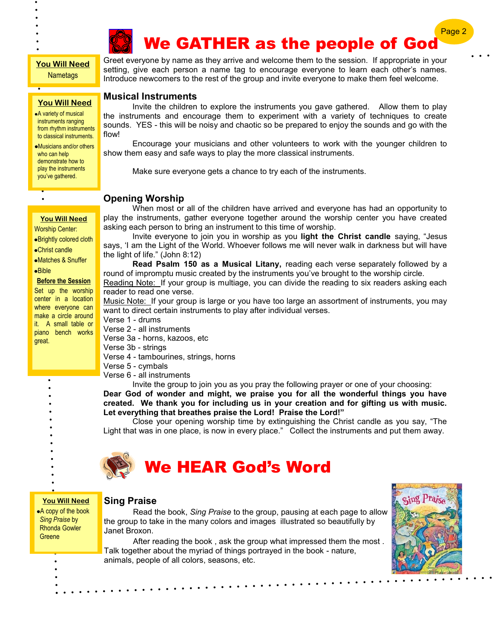

# We GATHER as the people of God

#### **You Will Need Nametags**

**You Will Need**

A variety of musical instruments ranging from rhythm instruments to classical instruments.

Musicians and/or others who can help demonstrate how to play the instruments you've gathered.

#### **You Will Need**

Worship Center:

Brightly colored cloth

Christ candle

Matches & Snuffer

Bible

 $\bullet$ 

#### **Before the Session**

Set up the worship center in a location where everyone can make a circle around it. A small table or piano bench works great.

Greet everyone by name as they arrive and welcome them to the session. If appropriate in your setting, give each person a name tag to encourage everyone to learn each other's names. Introduce newcomers to the rest of the group and invite everyone to make them feel welcome.

#### **Musical Instruments**

Invite the children to explore the instruments you gave gathered. Allow them to play the instruments and encourage them to experiment with a variety of techniques to create sounds. YES - this will be noisy and chaotic so be prepared to enjoy the sounds and go with the flow!

Encourage your musicians and other volunteers to work with the younger children to show them easy and safe ways to play the more classical instruments.

Make sure everyone gets a chance to try each of the instruments.

#### **Opening Worship**

When most or all of the children have arrived and everyone has had an opportunity to play the instruments, gather everyone together around the worship center you have created asking each person to bring an instrument to this time of worship.

Invite everyone to join you in worship as you **light the Christ candle** saying, "Jesus says, 'I am the Light of the World. Whoever follows me will never walk in darkness but will have the light of life." (John 8:12)

**Read Psalm 150 as a Musical Litany,** reading each verse separately followed by a round of impromptu music created by the instruments you've brought to the worship circle.

Reading Note: If your group is multiage, you can divide the reading to six readers asking each reader to read one verse.

Music Note:\_If your group is large or you have too large an assortment of instruments, you may want to direct certain instruments to play after individual verses.

Verse 1 - drums Verse 2 - all instruments

Verse 3a - horns, kazoos, etc

Verse 3b - strings

Verse 4 - tambourines, strings, horns

Verse 5 - cymbals

Verse 6 - all instruments

Invite the group to join you as you pray the following prayer or one of your choosing: **Dear God of wonder and might, we praise you for all the wonderful things you have created. We thank you for including us in your creation and for gifting us with music. Let everything that breathes praise the Lord! Praise the Lord!"**

Close your opening worship time by extinguishing the Christ candle as you say, "The Light that was in one place, is now in every place." Collect the instruments and put them away.



# We HEAR God's Word

**You Will Need**

A copy of the book *Sing Praise* by Rhonda Gowler **Greene** 

#### **Sing Praise**

Read the book, *Sing Praise* to the group, pausing at each page to allow the group to take in the many colors and images illustrated so beautifully by Janet Broxon.

After reading the book , ask the group what impressed them the most . Talk together about the myriad of things portrayed in the book - nature, animals, people of all colors, seasons, etc.



Page 2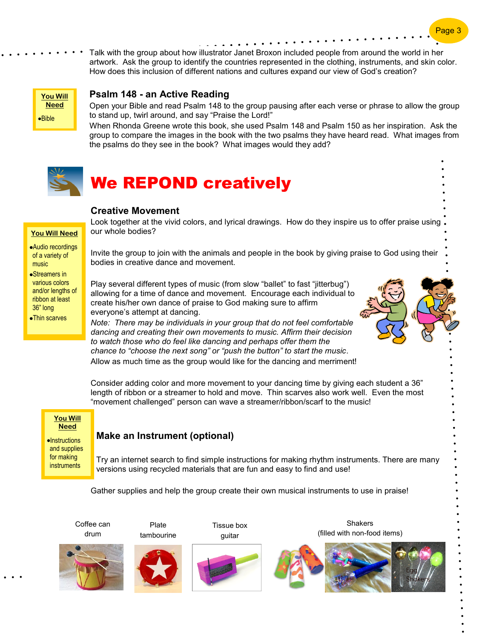Talk with the group about how illustrator Janet Broxon included people from around the world in her artwork. Ask the group to identify the countries represented in the clothing, instruments, and skin color. How does this inclusion of different nations and cultures expand our view of God's creation?



#### **Psalm 148 - an Active Reading**

Open your Bible and read Psalm 148 to the group pausing after each verse or phrase to allow the group to stand up, twirl around, and say "Praise the Lord!"

When Rhonda Greene wrote this book, she used Psalm 148 and Psalm 150 as her inspiration. Ask the group to compare the images in the book with the two psalms they have heard read. What images from the psalms do they see in the book? What images would they add?



# We REPOND creatively

#### **Creative Movement**

**You Will Need**

Audio recordings of a variety of music

Streamers in various colors and/or lengths of ribbon at least 36" long

Thin scarves

Look together at the vivid colors, and lyrical drawings. How do they inspire us to offer praise using our whole bodies?

Invite the group to join with the animals and people in the book by giving praise to God using their bodies in creative dance and movement.

Play several different types of music (from slow "ballet" to fast "jitterbug") allowing for a time of dance and movement. Encourage each individual to create his/her own dance of praise to God making sure to affirm everyone's attempt at dancing.



*Note: There may be individuals in your group that do not feel comfortable dancing and creating their own movements to music. Affirm their decision to watch those who do feel like dancing and perhaps offer them the chance to "choose the next song" or "push the button" to start the music*. Allow as much time as the group would like for the dancing and merriment!

Consider adding color and more movement to your dancing time by giving each student a 36" length of ribbon or a streamer to hold and move. Thin scarves also work well. Even the most "movement challenged" person can wave a streamer/ribbon/scarf to the music!

**You Will Need**  $\bullet$ Instructions and supplies

for making instruments

#### **Make an Instrument (optional)**

Try an internet search to find simple instructions for making rhythm instruments. There are many versions using recycled materials that are fun and easy to find and use!

Gather supplies and help the group create their own musical instruments to use in praise!





Plate



Tissue box